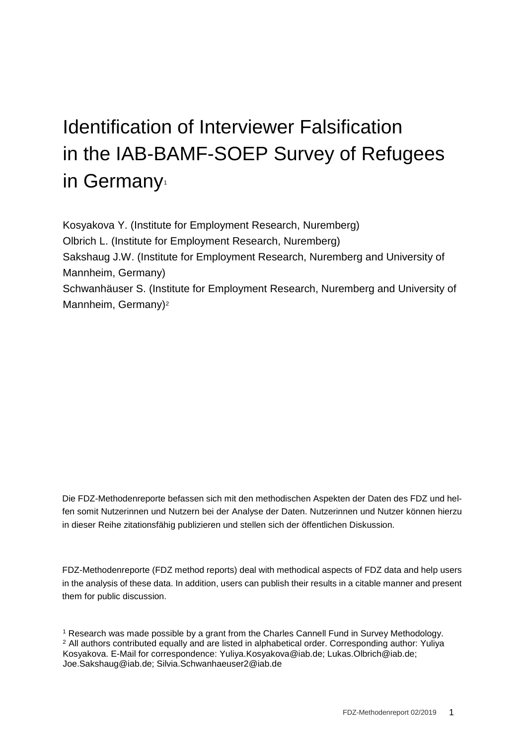# Identification of Interviewer Falsification in the IAB-BAMF-SOEP Survey of Refugees in Germany

Kosyakova Y. (Institute for Employment Research, Nuremberg) Olbrich L. (Institute for Employment Research, Nuremberg) Sakshaug J.W. (Institute for Employment Research, Nuremberg and University of Mannheim, Germany) Schwanhäuser S. (Institute for Employment Research, Nuremberg and University of Mannheim, Germany)<sup>[2](#page-0-1)</sup>

Die FDZ-Methodenreporte befassen sich mit den methodischen Aspekten der Daten des FDZ und helfen somit Nutzerinnen und Nutzern bei der Analyse der Daten. Nutzerinnen und Nutzer können hierzu in dieser Reihe zitationsfähig publizieren und stellen sich der öffentlichen Diskussion.

FDZ-Methodenreporte (FDZ method reports) deal with methodical aspects of FDZ data and help users in the analysis of these data. In addition, users can publish their results in a citable manner and present them for public discussion.

<span id="page-0-1"></span><span id="page-0-0"></span><sup>1</sup> Research was made possible by a grant from the Charles Cannell Fund in Survey Methodology. <sup>2</sup> All authors contributed equally and are listed in alphabetical order. Corresponding author: Yuliya Kosyakova. E-Mail for correspondence: Yuliya.Kosyakova@iab.de; Lukas.Olbrich@iab.de; Joe.Sakshaug@iab.de; Silvia.Schwanhaeuser2@iab.de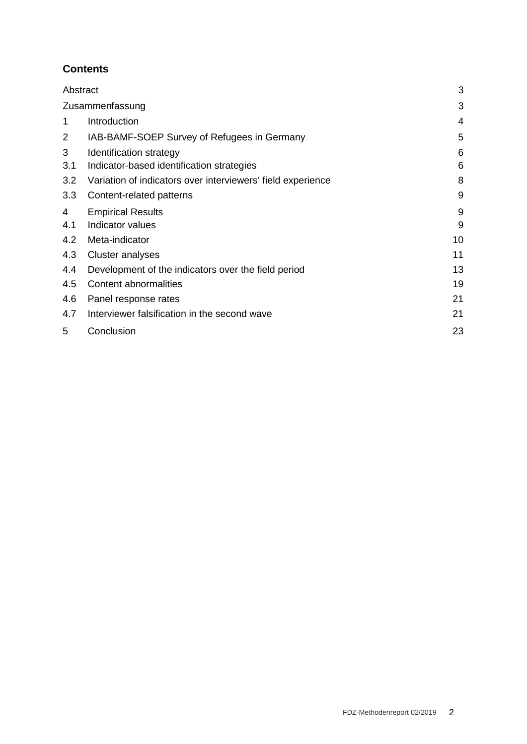## **Contents**

| Abstract |                                                             | 3  |
|----------|-------------------------------------------------------------|----|
|          | Zusammenfassung                                             | 3  |
| 1        | Introduction                                                | 4  |
| 2        | IAB-BAMF-SOEP Survey of Refugees in Germany                 | 5  |
| 3        | Identification strategy                                     | 6  |
| 3.1      | Indicator-based identification strategies                   | 6  |
| 3.2      | Variation of indicators over interviewers' field experience | 8  |
| 3.3      | Content-related patterns                                    | 9  |
| 4        | <b>Empirical Results</b>                                    | 9  |
| 4.1      | Indicator values                                            | 9  |
| 4.2      | Meta-indicator                                              | 10 |
| 4.3      | Cluster analyses                                            | 11 |
| 4.4      | Development of the indicators over the field period         | 13 |
| 4.5      | Content abnormalities                                       | 19 |
| 4.6      | Panel response rates                                        | 21 |
| 4.7      | Interviewer falsification in the second wave                | 21 |
| 5        | Conclusion                                                  | 23 |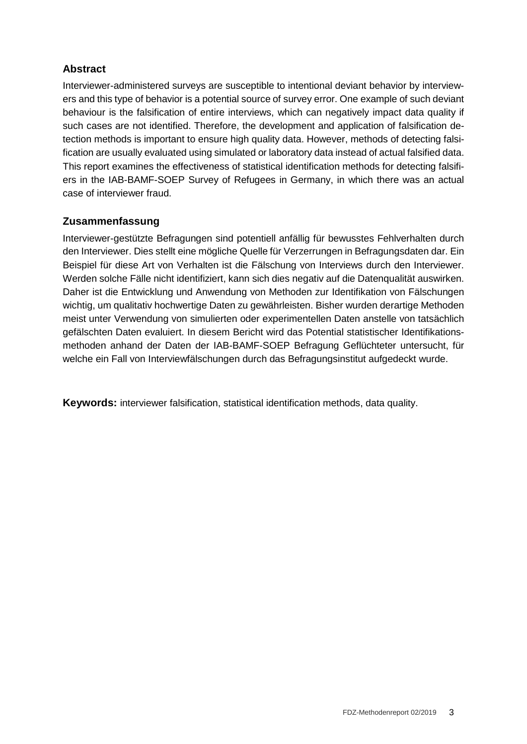## **Abstract**

Interviewer-administered surveys are susceptible to intentional deviant behavior by interviewers and this type of behavior is a potential source of survey error. One example of such deviant behaviour is the falsification of entire interviews, which can negatively impact data quality if such cases are not identified. Therefore, the development and application of falsification detection methods is important to ensure high quality data. However, methods of detecting falsification are usually evaluated using simulated or laboratory data instead of actual falsified data. This report examines the effectiveness of statistical identification methods for detecting falsifiers in the IAB-BAMF-SOEP Survey of Refugees in Germany, in which there was an actual case of interviewer fraud.

#### **Zusammenfassung**

Interviewer-gestützte Befragungen sind potentiell anfällig für bewusstes Fehlverhalten durch den Interviewer. Dies stellt eine mögliche Quelle für Verzerrungen in Befragungsdaten dar. Ein Beispiel für diese Art von Verhalten ist die Fälschung von Interviews durch den Interviewer. Werden solche Fälle nicht identifiziert, kann sich dies negativ auf die Datenqualität auswirken. Daher ist die Entwicklung und Anwendung von Methoden zur Identifikation von Fälschungen wichtig, um qualitativ hochwertige Daten zu gewährleisten. Bisher wurden derartige Methoden meist unter Verwendung von simulierten oder experimentellen Daten anstelle von tatsächlich gefälschten Daten evaluiert. In diesem Bericht wird das Potential statistischer Identifikationsmethoden anhand der Daten der IAB-BAMF-SOEP Befragung Geflüchteter untersucht, für welche ein Fall von Interviewfälschungen durch das Befragungsinstitut aufgedeckt wurde.

**Keywords:** interviewer falsification, statistical identification methods, data quality.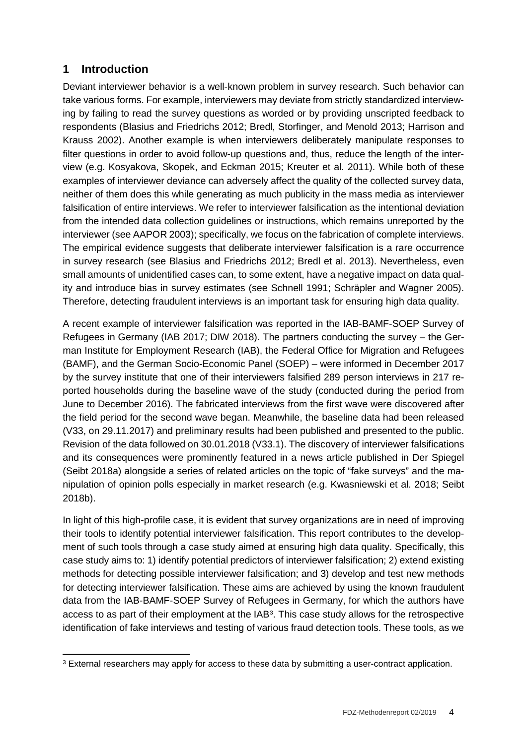# **1 Introduction**

Deviant interviewer behavior is a well-known problem in survey research. Such behavior can take various forms. For example, interviewers may deviate from strictly standardized interviewing by failing to read the survey questions as worded or by providing unscripted feedback to respondents (Blasius and Friedrichs 2012; Bredl, Storfinger, and Menold 2013; Harrison and Krauss 2002). Another example is when interviewers deliberately manipulate responses to filter questions in order to avoid follow-up questions and, thus, reduce the length of the interview (e.g. Kosyakova, Skopek, and Eckman 2015; Kreuter et al. 2011). While both of these examples of interviewer deviance can adversely affect the quality of the collected survey data, neither of them does this while generating as much publicity in the mass media as interviewer falsification of entire interviews. We refer to interviewer falsification as the intentional deviation from the intended data collection guidelines or instructions, which remains unreported by the interviewer (see AAPOR 2003); specifically, we focus on the fabrication of complete interviews. The empirical evidence suggests that deliberate interviewer falsification is a rare occurrence in survey research (see Blasius and Friedrichs 2012; Bredl et al. 2013). Nevertheless, even small amounts of unidentified cases can, to some extent, have a negative impact on data quality and introduce bias in survey estimates (see Schnell 1991; Schräpler and Wagner 2005). Therefore, detecting fraudulent interviews is an important task for ensuring high data quality.

A recent example of interviewer falsification was reported in the IAB-BAMF-SOEP Survey of Refugees in Germany (IAB 2017; DIW 2018). The partners conducting the survey – the German Institute for Employment Research (IAB), the Federal Office for Migration and Refugees (BAMF), and the German Socio-Economic Panel (SOEP) – were informed in December 2017 by the survey institute that one of their interviewers falsified 289 person interviews in 217 reported households during the baseline wave of the study (conducted during the period from June to December 2016). The fabricated interviews from the first wave were discovered after the field period for the second wave began. Meanwhile, the baseline data had been released (V33, on 29.11.2017) and preliminary results had been published and presented to the public. Revision of the data followed on 30.01.2018 (V33.1). The discovery of interviewer falsifications and its consequences were prominently featured in a news article published in Der Spiegel (Seibt 2018a) alongside a series of related articles on the topic of "fake surveys" and the manipulation of opinion polls especially in market research (e.g. Kwasniewski et al. 2018; Seibt 2018b).

In light of this high-profile case, it is evident that survey organizations are in need of improving their tools to identify potential interviewer falsification. This report contributes to the development of such tools through a case study aimed at ensuring high data quality. Specifically, this case study aims to: 1) identify potential predictors of interviewer falsification; 2) extend existing methods for detecting possible interviewer falsification; and 3) develop and test new methods for detecting interviewer falsification. These aims are achieved by using the known fraudulent data from the IAB-BAMF-SOEP Survey of Refugees in Germany, for which the authors have access to as part of their employment at the IAB[3.](#page-3-0) This case study allows for the retrospective identification of fake interviews and testing of various fraud detection tools. These tools, as we

<span id="page-3-0"></span><sup>&</sup>lt;sup>3</sup> External researchers may apply for access to these data by submitting a user-contract application.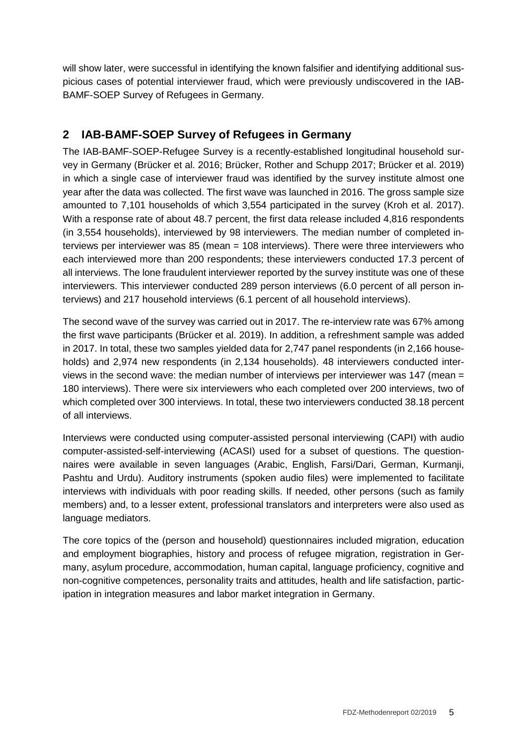will show later, were successful in identifying the known falsifier and identifying additional suspicious cases of potential interviewer fraud, which were previously undiscovered in the IAB-BAMF-SOEP Survey of Refugees in Germany.

# **2 IAB-BAMF-SOEP Survey of Refugees in Germany**

The IAB-BAMF-SOEP-Refugee Survey is a recently-established longitudinal household survey in Germany (Brücker et al. 2016; Brücker, Rother and Schupp 2017; Brücker et al. 2019) in which a single case of interviewer fraud was identified by the survey institute almost one year after the data was collected. The first wave was launched in 2016. The gross sample size amounted to 7,101 households of which 3,554 participated in the survey (Kroh et al. 2017). With a response rate of about 48.7 percent, the first data release included 4,816 respondents (in 3,554 households), interviewed by 98 interviewers. The median number of completed interviews per interviewer was 85 (mean = 108 interviews). There were three interviewers who each interviewed more than 200 respondents; these interviewers conducted 17.3 percent of all interviews. The lone fraudulent interviewer reported by the survey institute was one of these interviewers. This interviewer conducted 289 person interviews (6.0 percent of all person interviews) and 217 household interviews (6.1 percent of all household interviews).

The second wave of the survey was carried out in 2017. The re-interview rate was 67% among the first wave participants (Brücker et al. 2019). In addition, a refreshment sample was added in 2017. In total, these two samples yielded data for 2,747 panel respondents (in 2,166 households) and 2,974 new respondents (in 2,134 households). 48 interviewers conducted interviews in the second wave: the median number of interviews per interviewer was 147 (mean = 180 interviews). There were six interviewers who each completed over 200 interviews, two of which completed over 300 interviews. In total, these two interviewers conducted 38.18 percent of all interviews.

Interviews were conducted using computer-assisted personal interviewing (CAPI) with audio computer-assisted-self-interviewing (ACASI) used for a subset of questions. The questionnaires were available in seven languages (Arabic, English, Farsi/Dari, German, Kurmanji, Pashtu and Urdu). Auditory instruments (spoken audio files) were implemented to facilitate interviews with individuals with poor reading skills. If needed, other persons (such as family members) and, to a lesser extent, professional translators and interpreters were also used as language mediators.

The core topics of the (person and household) questionnaires included migration, education and employment biographies, history and process of refugee migration, registration in Germany, asylum procedure, accommodation, human capital, language proficiency, cognitive and non-cognitive competences, personality traits and attitudes, health and life satisfaction, participation in integration measures and labor market integration in Germany.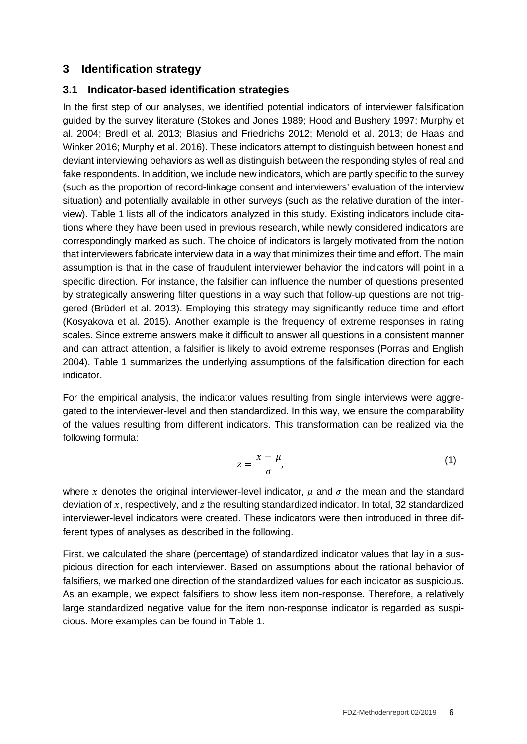## **3 Identification strategy**

#### **3.1 Indicator-based identification strategies**

In the first step of our analyses, we identified potential indicators of interviewer falsification guided by the survey literature (Stokes and Jones 1989; Hood and Bushery 1997; Murphy et al. 2004; Bredl et al. 2013; Blasius and Friedrichs 2012; Menold et al. 2013; de Haas and Winker 2016; Murphy et al. 2016). These indicators attempt to distinguish between honest and deviant interviewing behaviors as well as distinguish between the responding styles of real and fake respondents. In addition, we include new indicators, which are partly specific to the survey (such as the proportion of record-linkage consent and interviewers' evaluation of the interview situation) and potentially available in other surveys (such as the relative duration of the interview). Table 1 lists all of the indicators analyzed in this study. Existing indicators include citations where they have been used in previous research, while newly considered indicators are correspondingly marked as such. The choice of indicators is largely motivated from the notion that interviewers fabricate interview data in a way that minimizes their time and effort. The main assumption is that in the case of fraudulent interviewer behavior the indicators will point in a specific direction. For instance, the falsifier can influence the number of questions presented by strategically answering filter questions in a way such that follow-up questions are not triggered (Brüderl et al. 2013). Employing this strategy may significantly reduce time and effort (Kosyakova et al. 2015). Another example is the frequency of extreme responses in rating scales. Since extreme answers make it difficult to answer all questions in a consistent manner and can attract attention, a falsifier is likely to avoid extreme responses (Porras and English 2004). Table 1 summarizes the underlying assumptions of the falsification direction for each indicator.

For the empirical analysis, the indicator values resulting from single interviews were aggregated to the interviewer-level and then standardized. In this way, we ensure the comparability of the values resulting from different indicators. This transformation can be realized via the following formula:

$$
z = \frac{x - \mu}{\sigma},\tag{1}
$$

where x denotes the original interviewer-level indicator,  $\mu$  and  $\sigma$  the mean and the standard deviation of  $x$ , respectively, and  $z$  the resulting standardized indicator. In total, 32 standardized interviewer-level indicators were created. These indicators were then introduced in three different types of analyses as described in the following.

First, we calculated the share (percentage) of standardized indicator values that lay in a suspicious direction for each interviewer. Based on assumptions about the rational behavior of falsifiers, we marked one direction of the standardized values for each indicator as suspicious. As an example, we expect falsifiers to show less item non-response. Therefore, a relatively large standardized negative value for the item non-response indicator is regarded as suspicious. More examples can be found in Table 1.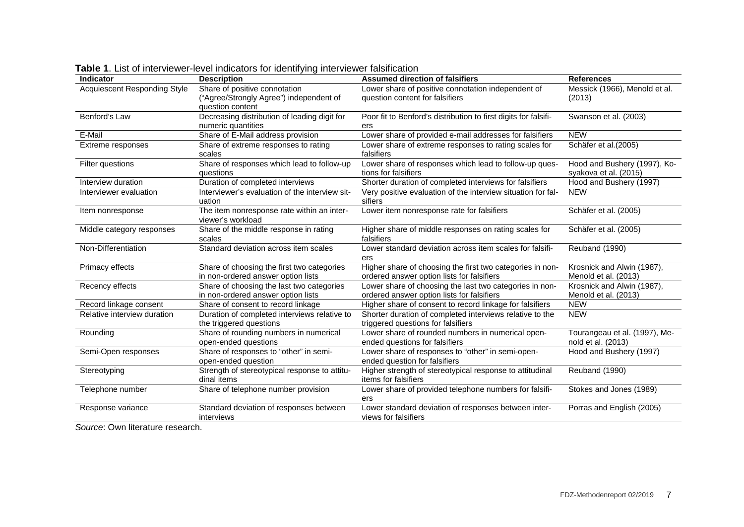| Indicator                    | <b>Description</b>                                                                           | <b>Assumed direction of falsifiers</b>                                                                  | <b>References</b>                                     |
|------------------------------|----------------------------------------------------------------------------------------------|---------------------------------------------------------------------------------------------------------|-------------------------------------------------------|
| Acquiescent Responding Style | Share of positive connotation<br>("Agree/Strongly Agree") independent of<br>question content | Lower share of positive connotation independent of<br>question content for falsifiers                   | Messick (1966), Menold et al.<br>(2013)               |
| Benford's Law                | Decreasing distribution of leading digit for<br>numeric quantities                           | Poor fit to Benford's distribution to first digits for falsifi-<br>ers                                  | Swanson et al. (2003)                                 |
| E-Mail                       | Share of E-Mail address provision                                                            | Lower share of provided e-mail addresses for falsifiers                                                 | <b>NEW</b>                                            |
| Extreme responses            | Share of extreme responses to rating<br>scales                                               | Lower share of extreme responses to rating scales for<br>falsifiers                                     | Schäfer et al.(2005)                                  |
| Filter questions             | Share of responses which lead to follow-up<br>questions                                      | Lower share of responses which lead to follow-up ques-<br>tions for falsifiers                          | Hood and Bushery (1997), Ko-<br>syakova et al. (2015) |
| Interview duration           | Duration of completed interviews                                                             | Shorter duration of completed interviews for falsifiers                                                 | Hood and Bushery (1997)                               |
| Interviewer evaluation       | Interviewer's evaluation of the interview sit-<br>uation                                     | Very positive evaluation of the interview situation for fal-<br>sifiers                                 | <b>NEW</b>                                            |
| Item nonresponse             | The item nonresponse rate within an inter-<br>viewer's workload                              | Lower item nonresponse rate for falsifiers                                                              | Schäfer et al. (2005)                                 |
| Middle category responses    | Share of the middle response in rating<br>scales                                             | Higher share of middle responses on rating scales for<br>falsifiers                                     | Schäfer et al. (2005)                                 |
| Non-Differentiation          | Standard deviation across item scales                                                        | Lower standard deviation across item scales for falsifi-<br>ers                                         | Reuband (1990)                                        |
| Primacy effects              | Share of choosing the first two categories<br>in non-ordered answer option lists             | Higher share of choosing the first two categories in non-<br>ordered answer option lists for falsifiers | Krosnick and Alwin (1987),<br>Menold et al. (2013)    |
| Recency effects              | Share of choosing the last two categories<br>in non-ordered answer option lists              | Lower share of choosing the last two categories in non-<br>ordered answer option lists for falsifiers   | Krosnick and Alwin (1987),<br>Menold et al. (2013)    |
| Record linkage consent       | Share of consent to record linkage                                                           | Higher share of consent to record linkage for falsifiers                                                | <b>NEW</b>                                            |
| Relative interview duration  | Duration of completed interviews relative to<br>the triggered questions                      | Shorter duration of completed interviews relative to the<br>triggered questions for falsifiers          | <b>NEW</b>                                            |
| Rounding                     | Share of rounding numbers in numerical<br>open-ended questions                               | Lower share of rounded numbers in numerical open-<br>ended questions for falsifiers                     | Tourangeau et al. (1997), Me-<br>nold et al. (2013)   |
| Semi-Open responses          | Share of responses to "other" in semi-<br>open-ended question                                | Lower share of responses to "other" in semi-open-<br>ended question for falsifiers                      | Hood and Bushery (1997)                               |
| Stereotyping                 | Strength of stereotypical response to attitu-<br>dinal items                                 | Higher strength of stereotypical response to attitudinal<br>items for falsifiers                        | Reuband (1990)                                        |
| Telephone number             | Share of telephone number provision                                                          | Lower share of provided telephone numbers for falsifi-<br>ers                                           | Stokes and Jones (1989)                               |
| Response variance            | Standard deviation of responses between<br>interviews                                        | Lower standard deviation of responses between inter-<br>views for falsifiers                            | Porras and English (2005)                             |

**Table 1**. List of interviewer-level indicators for identifying interviewer falsification

*Source*: Own literature research.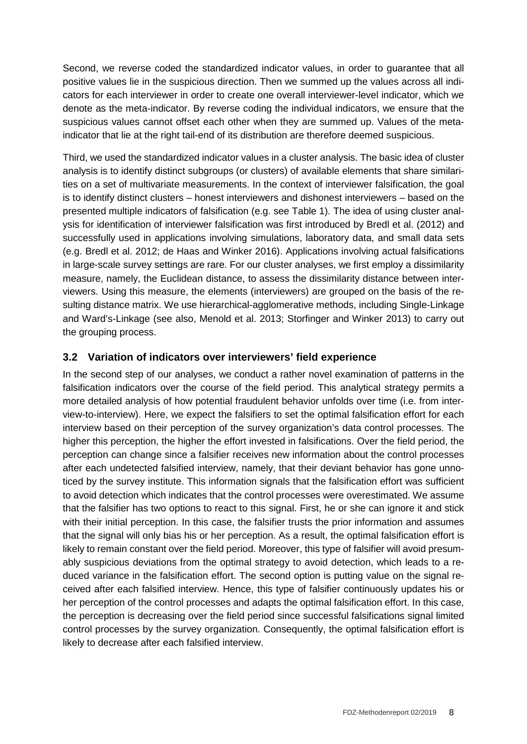Second, we reverse coded the standardized indicator values, in order to guarantee that all positive values lie in the suspicious direction. Then we summed up the values across all indicators for each interviewer in order to create one overall interviewer-level indicator, which we denote as the meta-indicator. By reverse coding the individual indicators, we ensure that the suspicious values cannot offset each other when they are summed up. Values of the metaindicator that lie at the right tail-end of its distribution are therefore deemed suspicious.

Third, we used the standardized indicator values in a cluster analysis. The basic idea of cluster analysis is to identify distinct subgroups (or clusters) of available elements that share similarities on a set of multivariate measurements. In the context of interviewer falsification, the goal is to identify distinct clusters – honest interviewers and dishonest interviewers – based on the presented multiple indicators of falsification (e.g. see Table 1). The idea of using cluster analysis for identification of interviewer falsification was first introduced by Bredl et al. (2012) and successfully used in applications involving simulations, laboratory data, and small data sets (e.g. Bredl et al. 2012; de Haas and Winker 2016). Applications involving actual falsifications in large-scale survey settings are rare. For our cluster analyses, we first employ a dissimilarity measure, namely, the Euclidean distance, to assess the dissimilarity distance between interviewers. Using this measure, the elements (interviewers) are grouped on the basis of the resulting distance matrix. We use hierarchical-agglomerative methods, including Single-Linkage and Ward's-Linkage (see also, Menold et al. 2013; Storfinger and Winker 2013) to carry out the grouping process.

#### **3.2 Variation of indicators over interviewers' field experience**

In the second step of our analyses, we conduct a rather novel examination of patterns in the falsification indicators over the course of the field period. This analytical strategy permits a more detailed analysis of how potential fraudulent behavior unfolds over time (i.e. from interview-to-interview). Here, we expect the falsifiers to set the optimal falsification effort for each interview based on their perception of the survey organization's data control processes. The higher this perception, the higher the effort invested in falsifications. Over the field period, the perception can change since a falsifier receives new information about the control processes after each undetected falsified interview, namely, that their deviant behavior has gone unnoticed by the survey institute. This information signals that the falsification effort was sufficient to avoid detection which indicates that the control processes were overestimated. We assume that the falsifier has two options to react to this signal. First, he or she can ignore it and stick with their initial perception. In this case, the falsifier trusts the prior information and assumes that the signal will only bias his or her perception. As a result, the optimal falsification effort is likely to remain constant over the field period. Moreover, this type of falsifier will avoid presumably suspicious deviations from the optimal strategy to avoid detection, which leads to a reduced variance in the falsification effort. The second option is putting value on the signal received after each falsified interview. Hence, this type of falsifier continuously updates his or her perception of the control processes and adapts the optimal falsification effort. In this case, the perception is decreasing over the field period since successful falsifications signal limited control processes by the survey organization. Consequently, the optimal falsification effort is likely to decrease after each falsified interview.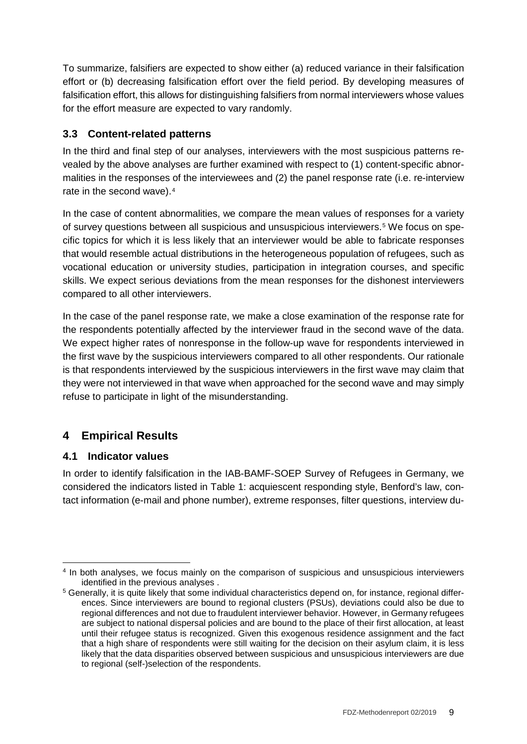To summarize, falsifiers are expected to show either (a) reduced variance in their falsification effort or (b) decreasing falsification effort over the field period. By developing measures of falsification effort, this allows for distinguishing falsifiers from normal interviewers whose values for the effort measure are expected to vary randomly.

#### **3.3 Content-related patterns**

In the third and final step of our analyses, interviewers with the most suspicious patterns revealed by the above analyses are further examined with respect to (1) content-specific abnormalities in the responses of the interviewees and (2) the panel response rate (i.e. re-interview rate in the second wave).[4](#page-8-0)

In the case of content abnormalities, we compare the mean values of responses for a variety of survey questions between all suspicious and unsuspicious interviewers.[5](#page-8-1) We focus on specific topics for which it is less likely that an interviewer would be able to fabricate responses that would resemble actual distributions in the heterogeneous population of refugees, such as vocational education or university studies, participation in integration courses, and specific skills. We expect serious deviations from the mean responses for the dishonest interviewers compared to all other interviewers.

In the case of the panel response rate, we make a close examination of the response rate for the respondents potentially affected by the interviewer fraud in the second wave of the data. We expect higher rates of nonresponse in the follow-up wave for respondents interviewed in the first wave by the suspicious interviewers compared to all other respondents. Our rationale is that respondents interviewed by the suspicious interviewers in the first wave may claim that they were not interviewed in that wave when approached for the second wave and may simply refuse to participate in light of the misunderstanding.

## **4 Empirical Results**

#### **4.1 Indicator values**

In order to identify falsification in the IAB-BAMF-SOEP Survey of Refugees in Germany, we considered the indicators listed in Table 1: acquiescent responding style, Benford's law, contact information (e-mail and phone number), extreme responses, filter questions, interview du-

<span id="page-8-0"></span> <sup>4</sup> In both analyses, we focus mainly on the comparison of suspicious and unsuspicious interviewers identified in the previous analyses .

<span id="page-8-1"></span><sup>5</sup> Generally, it is quite likely that some individual characteristics depend on, for instance, regional differences. Since interviewers are bound to regional clusters (PSUs), deviations could also be due to regional differences and not due to fraudulent interviewer behavior. However, in Germany refugees are subject to national dispersal policies and are bound to the place of their first allocation, at least until their refugee status is recognized. Given this exogenous residence assignment and the fact that a high share of respondents were still waiting for the decision on their asylum claim, it is less likely that the data disparities observed between suspicious and unsuspicious interviewers are due to regional (self-)selection of the respondents.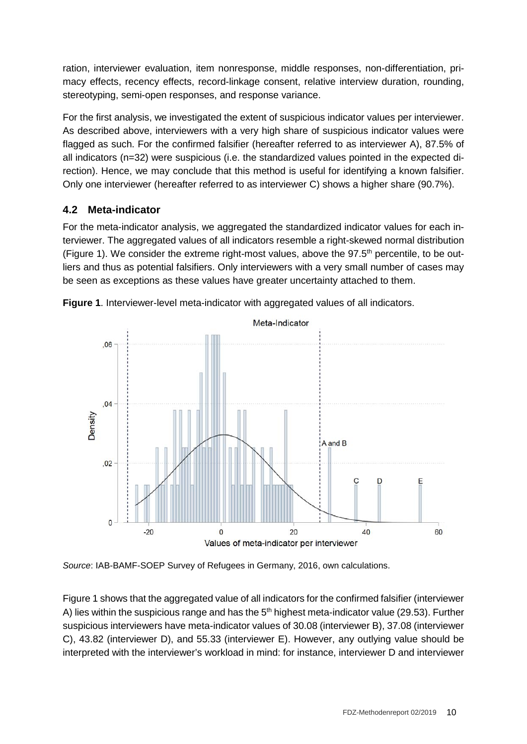ration, interviewer evaluation, item nonresponse, middle responses, non-differentiation, primacy effects, recency effects, record-linkage consent, relative interview duration, rounding, stereotyping, semi-open responses, and response variance.

For the first analysis, we investigated the extent of suspicious indicator values per interviewer. As described above, interviewers with a very high share of suspicious indicator values were flagged as such. For the confirmed falsifier (hereafter referred to as interviewer A), 87.5% of all indicators (n=32) were suspicious (i.e. the standardized values pointed in the expected direction). Hence, we may conclude that this method is useful for identifying a known falsifier. Only one interviewer (hereafter referred to as interviewer C) shows a higher share (90.7%).

### **4.2 Meta-indicator**

For the meta-indicator analysis, we aggregated the standardized indicator values for each interviewer. The aggregated values of all indicators resemble a right-skewed normal distribution (Figure 1). We consider the extreme right-most values, above the  $97.5<sup>th</sup>$  percentile, to be outliers and thus as potential falsifiers. Only interviewers with a very small number of cases may be seen as exceptions as these values have greater uncertainty attached to them.



**Figure 1**. Interviewer-level meta-indicator with aggregated values of all indicators.

*Source*: IAB-BAMF-SOEP Survey of Refugees in Germany, 2016, own calculations.

Figure 1 shows that the aggregated value of all indicators for the confirmed falsifier (interviewer A) lies within the suspicious range and has the  $5<sup>th</sup>$  highest meta-indicator value (29.53). Further suspicious interviewers have meta-indicator values of 30.08 (interviewer B), 37.08 (interviewer C), 43.82 (interviewer D), and 55.33 (interviewer E). However, any outlying value should be interpreted with the interviewer's workload in mind: for instance, interviewer D and interviewer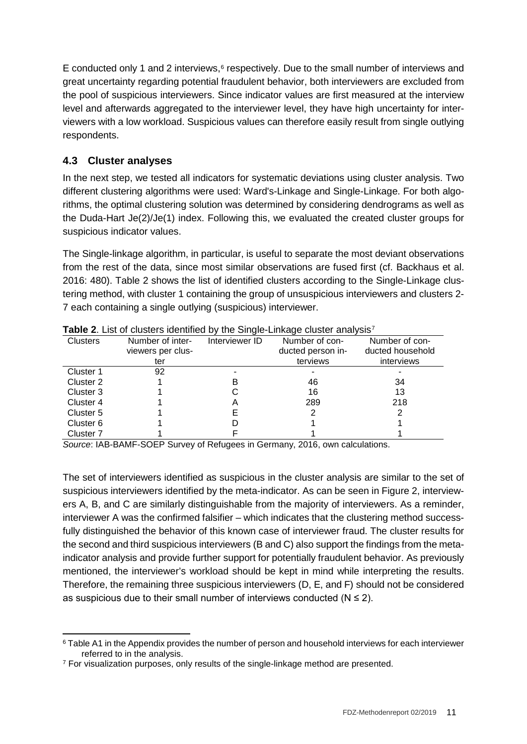E conducted only 1 and 2 interviews, $6$  respectively. Due to the small number of interviews and great uncertainty regarding potential fraudulent behavior, both interviewers are excluded from the pool of suspicious interviewers. Since indicator values are first measured at the interview level and afterwards aggregated to the interviewer level, they have high uncertainty for interviewers with a low workload. Suspicious values can therefore easily result from single outlying respondents.

### **4.3 Cluster analyses**

In the next step, we tested all indicators for systematic deviations using cluster analysis. Two different clustering algorithms were used: Ward's-Linkage and Single-Linkage. For both algorithms, the optimal clustering solution was determined by considering dendrograms as well as the Duda-Hart Je(2)/Je(1) index. Following this, we evaluated the created cluster groups for suspicious indicator values.

The Single-linkage algorithm, in particular, is useful to separate the most deviant observations from the rest of the data, since most similar observations are fused first (cf. Backhaus et al. 2016: 480). Table 2 shows the list of identified clusters according to the Single-Linkage clustering method, with cluster 1 containing the group of unsuspicious interviewers and clusters 2- 7 each containing a single outlying (suspicious) interviewer.

|                      | $\mathbf{r}$ and $\mathbf{r}$ and $\mathbf{r}$ are not become the control of $\mathbf{r}$ , and $\mathbf{r}$ are controlled to the control of $\mathbf{r}$ |                |                   |                  |
|----------------------|------------------------------------------------------------------------------------------------------------------------------------------------------------|----------------|-------------------|------------------|
| <b>Clusters</b>      | Number of inter-                                                                                                                                           | Interviewer ID | Number of con-    | Number of con-   |
|                      | viewers per clus-                                                                                                                                          |                | ducted person in- | ducted household |
|                      | ter                                                                                                                                                        |                | terviews          | interviews       |
| Cluster 1            | 92                                                                                                                                                         |                |                   |                  |
| Cluster 2            |                                                                                                                                                            | в              | 46                | 34               |
| Cluster 3            |                                                                                                                                                            |                | 16                | 13               |
| Cluster 4            |                                                                                                                                                            | Α              | 289               | 218              |
| Cluster 5            |                                                                                                                                                            |                |                   |                  |
| Cluster 6            |                                                                                                                                                            |                |                   |                  |
| Cluster <sub>7</sub> |                                                                                                                                                            |                |                   |                  |

**Table 2.** List of clusters identified by the Single-Linkage cluster analysis<sup>[7](#page-10-1)</sup>

*Source*: IAB-BAMF-SOEP Survey of Refugees in Germany, 2016, own calculations.

The set of interviewers identified as suspicious in the cluster analysis are similar to the set of suspicious interviewers identified by the meta-indicator. As can be seen in Figure 2, interviewers A, B, and C are similarly distinguishable from the majority of interviewers. As a reminder, interviewer A was the confirmed falsifier – which indicates that the clustering method successfully distinguished the behavior of this known case of interviewer fraud. The cluster results for the second and third suspicious interviewers (B and C) also support the findings from the metaindicator analysis and provide further support for potentially fraudulent behavior. As previously mentioned, the interviewer's workload should be kept in mind while interpreting the results. Therefore, the remaining three suspicious interviewers (D, E, and F) should not be considered as suspicious due to their small number of interviews conducted ( $N \leq 2$ ).

<span id="page-10-0"></span> <sup>6</sup> Table A1 in the Appendix provides the number of person and household interviews for each interviewer referred to in the analysis.

<span id="page-10-1"></span><sup>7</sup> For visualization purposes, only results of the single-linkage method are presented.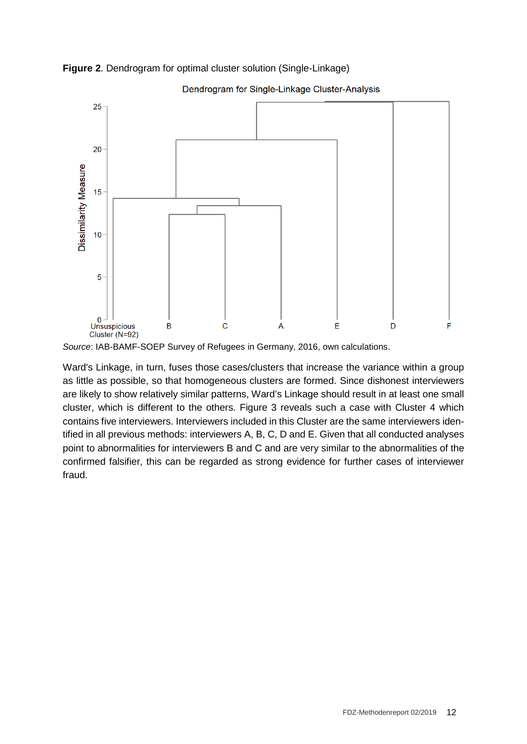

**Figure 2**. Dendrogram for optimal cluster solution (Single-Linkage)

*Source*: IAB-BAMF-SOEP Survey of Refugees in Germany, 2016, own calculations.

Ward's Linkage, in turn, fuses those cases/clusters that increase the variance within a group as little as possible, so that homogeneous clusters are formed. Since dishonest interviewers are likely to show relatively similar patterns, Ward's Linkage should result in at least one small cluster, which is different to the others. Figure 3 reveals such a case with Cluster 4 which contains five interviewers. Interviewers included in this Cluster are the same interviewers identified in all previous methods: interviewers A, B, C, D and E. Given that all conducted analyses point to abnormalities for interviewers B and C and are very similar to the abnormalities of the confirmed falsifier, this can be regarded as strong evidence for further cases of interviewer fraud.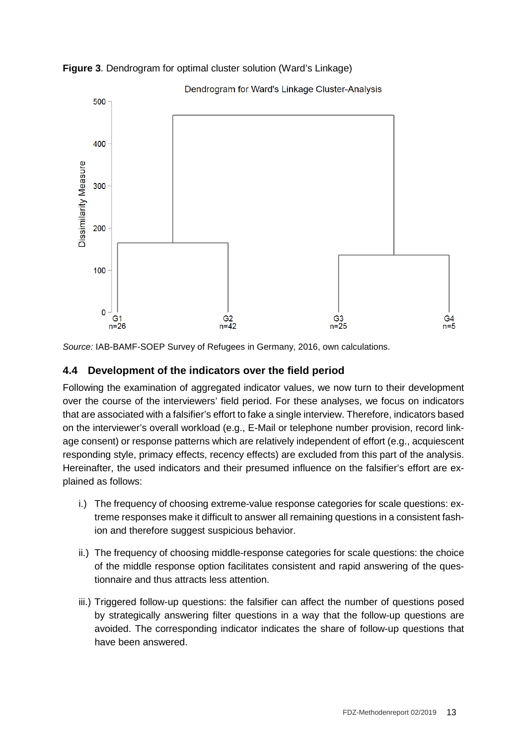

**Figure 3**. Dendrogram for optimal cluster solution (Ward's Linkage)

*Source:* IAB-BAMF-SOEP Survey of Refugees in Germany, 2016, own calculations.

#### **4.4 Development of the indicators over the field period**

Following the examination of aggregated indicator values, we now turn to their development over the course of the interviewers' field period. For these analyses, we focus on indicators that are associated with a falsifier's effort to fake a single interview. Therefore, indicators based on the interviewer's overall workload (e.g., E-Mail or telephone number provision, record linkage consent) or response patterns which are relatively independent of effort (e.g., acquiescent responding style, primacy effects, recency effects) are excluded from this part of the analysis. Hereinafter, the used indicators and their presumed influence on the falsifier's effort are explained as follows:

- i.) The frequency of choosing extreme-value response categories for scale questions: extreme responses make it difficult to answer all remaining questions in a consistent fashion and therefore suggest suspicious behavior.
- ii.) The frequency of choosing middle-response categories for scale questions: the choice of the middle response option facilitates consistent and rapid answering of the questionnaire and thus attracts less attention.
- iii.) Triggered follow-up questions: the falsifier can affect the number of questions posed by strategically answering filter questions in a way that the follow-up questions are avoided. The corresponding indicator indicates the share of follow-up questions that have been answered.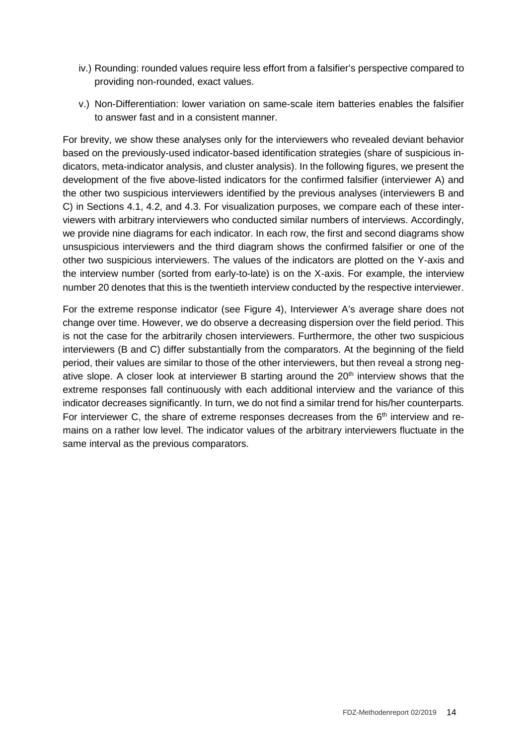- iv.) Rounding: rounded values require less effort from a falsifier's perspective compared to providing non-rounded, exact values.
- v.) Non-Differentiation: lower variation on same-scale item batteries enables the falsifier to answer fast and in a consistent manner.

For brevity, we show these analyses only for the interviewers who revealed deviant behavior based on the previously-used indicator-based identification strategies (share of suspicious indicators, meta-indicator analysis, and cluster analysis). In the following figures, we present the development of the five above-listed indicators for the confirmed falsifier (interviewer A) and the other two suspicious interviewers identified by the previous analyses (interviewers B and C) in Sections 4.1, 4.2, and 4.3. For visualization purposes, we compare each of these interviewers with arbitrary interviewers who conducted similar numbers of interviews. Accordingly, we provide nine diagrams for each indicator. In each row, the first and second diagrams show unsuspicious interviewers and the third diagram shows the confirmed falsifier or one of the other two suspicious interviewers. The values of the indicators are plotted on the Y-axis and the interview number (sorted from early-to-late) is on the X-axis. For example, the interview number 20 denotes that this is the twentieth interview conducted by the respective interviewer.

For the extreme response indicator (see Figure 4), Interviewer A's average share does not change over time. However, we do observe a decreasing dispersion over the field period. This is not the case for the arbitrarily chosen interviewers. Furthermore, the other two suspicious interviewers (B and C) differ substantially from the comparators. At the beginning of the field period, their values are similar to those of the other interviewers, but then reveal a strong negative slope. A closer look at interviewer B starting around the 20<sup>th</sup> interview shows that the extreme responses fall continuously with each additional interview and the variance of this indicator decreases significantly. In turn, we do not find a similar trend for his/her counterparts. For interviewer C, the share of extreme responses decreases from the  $6<sup>th</sup>$  interview and remains on a rather low level. The indicator values of the arbitrary interviewers fluctuate in the same interval as the previous comparators.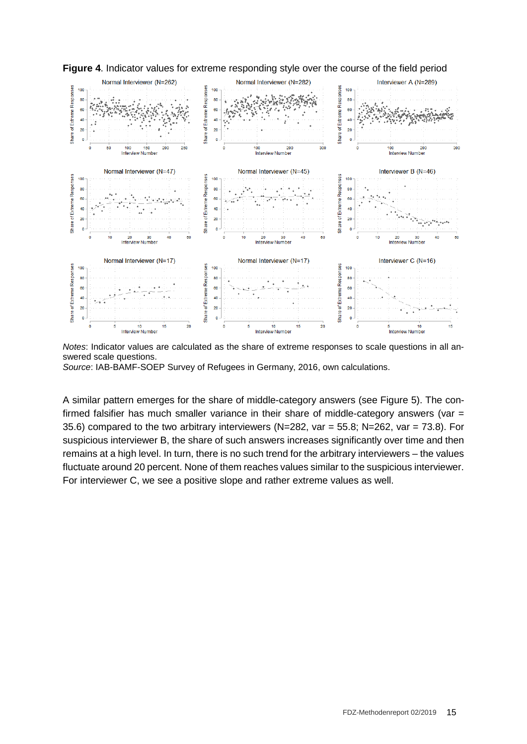

**Figure 4**. Indicator values for extreme responding style over the course of the field period

*Notes*: Indicator values are calculated as the share of extreme responses to scale questions in all answered scale questions.

*Source*: IAB-BAMF-SOEP Survey of Refugees in Germany, 2016, own calculations.

A similar pattern emerges for the share of middle-category answers (see Figure 5). The confirmed falsifier has much smaller variance in their share of middle-category answers (var  $=$ 35.6) compared to the two arbitrary interviewers (N=282, var = 55.8; N=262, var = 73.8). For suspicious interviewer B, the share of such answers increases significantly over time and then remains at a high level. In turn, there is no such trend for the arbitrary interviewers – the values fluctuate around 20 percent. None of them reaches values similar to the suspicious interviewer. For interviewer C, we see a positive slope and rather extreme values as well.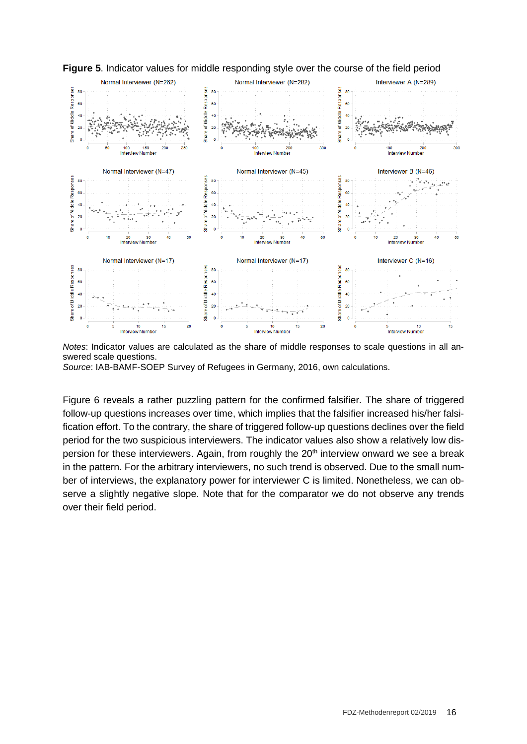

**Figure 5**. Indicator values for middle responding style over the course of the field period

*Notes*: Indicator values are calculated as the share of middle responses to scale questions in all answered scale questions.

*Source*: IAB-BAMF-SOEP Survey of Refugees in Germany, 2016, own calculations.

Figure 6 reveals a rather puzzling pattern for the confirmed falsifier. The share of triggered follow-up questions increases over time, which implies that the falsifier increased his/her falsification effort. To the contrary, the share of triggered follow-up questions declines over the field period for the two suspicious interviewers. The indicator values also show a relatively low dispersion for these interviewers. Again, from roughly the 20<sup>th</sup> interview onward we see a break in the pattern. For the arbitrary interviewers, no such trend is observed. Due to the small number of interviews, the explanatory power for interviewer C is limited. Nonetheless, we can observe a slightly negative slope. Note that for the comparator we do not observe any trends over their field period.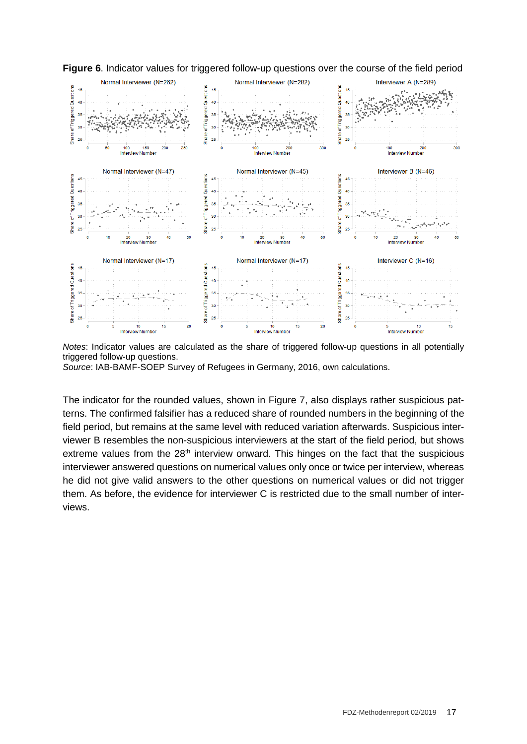

**Figure 6**. Indicator values for triggered follow-up questions over the course of the field period

*Notes*: Indicator values are calculated as the share of triggered follow-up questions in all potentially triggered follow-up questions.

*Source*: IAB-BAMF-SOEP Survey of Refugees in Germany, 2016, own calculations.

The indicator for the rounded values, shown in Figure 7, also displays rather suspicious patterns. The confirmed falsifier has a reduced share of rounded numbers in the beginning of the field period, but remains at the same level with reduced variation afterwards. Suspicious interviewer B resembles the non-suspicious interviewers at the start of the field period, but shows extreme values from the 28<sup>th</sup> interview onward. This hinges on the fact that the suspicious interviewer answered questions on numerical values only once or twice per interview, whereas he did not give valid answers to the other questions on numerical values or did not trigger them. As before, the evidence for interviewer C is restricted due to the small number of interviews.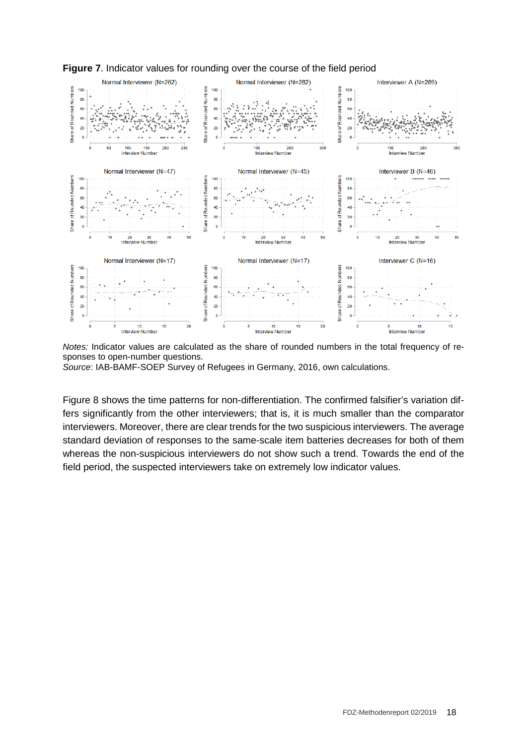

**Figure 7**. Indicator values for rounding over the course of the field period

*Notes:* Indicator values are calculated as the share of rounded numbers in the total frequency of responses to open-number questions.

*Source*: IAB-BAMF-SOEP Survey of Refugees in Germany, 2016, own calculations.

Figure 8 shows the time patterns for non-differentiation. The confirmed falsifier's variation differs significantly from the other interviewers; that is, it is much smaller than the comparator interviewers. Moreover, there are clear trends for the two suspicious interviewers. The average standard deviation of responses to the same-scale item batteries decreases for both of them whereas the non-suspicious interviewers do not show such a trend. Towards the end of the field period, the suspected interviewers take on extremely low indicator values.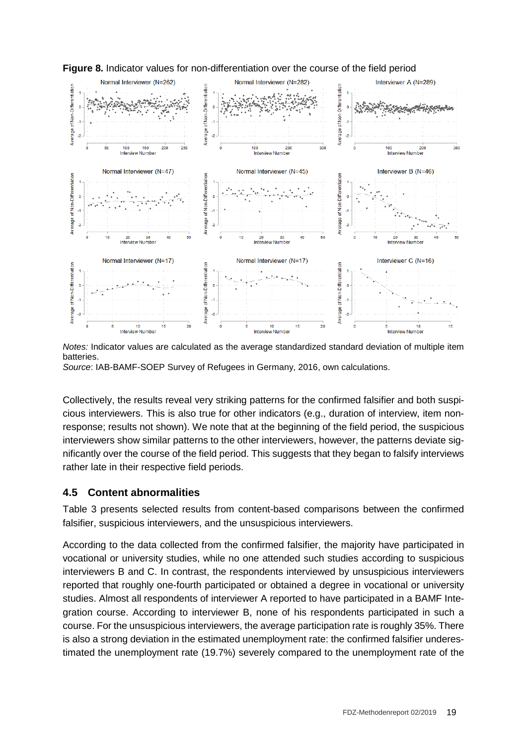

**Figure 8.** Indicator values for non-differentiation over the course of the field period

*Notes:* Indicator values are calculated as the average standardized standard deviation of multiple item batteries.

*Source*: IAB-BAMF-SOEP Survey of Refugees in Germany, 2016, own calculations.

Collectively, the results reveal very striking patterns for the confirmed falsifier and both suspicious interviewers. This is also true for other indicators (e.g., duration of interview, item nonresponse; results not shown). We note that at the beginning of the field period, the suspicious interviewers show similar patterns to the other interviewers, however, the patterns deviate significantly over the course of the field period. This suggests that they began to falsify interviews rather late in their respective field periods.

#### **4.5 Content abnormalities**

Table 3 presents selected results from content-based comparisons between the confirmed falsifier, suspicious interviewers, and the unsuspicious interviewers.

According to the data collected from the confirmed falsifier, the majority have participated in vocational or university studies, while no one attended such studies according to suspicious interviewers B and C. In contrast, the respondents interviewed by unsuspicious interviewers reported that roughly one-fourth participated or obtained a degree in vocational or university studies. Almost all respondents of interviewer A reported to have participated in a BAMF Integration course. According to interviewer B, none of his respondents participated in such a course. For the unsuspicious interviewers, the average participation rate is roughly 35%. There is also a strong deviation in the estimated unemployment rate: the confirmed falsifier underestimated the unemployment rate (19.7%) severely compared to the unemployment rate of the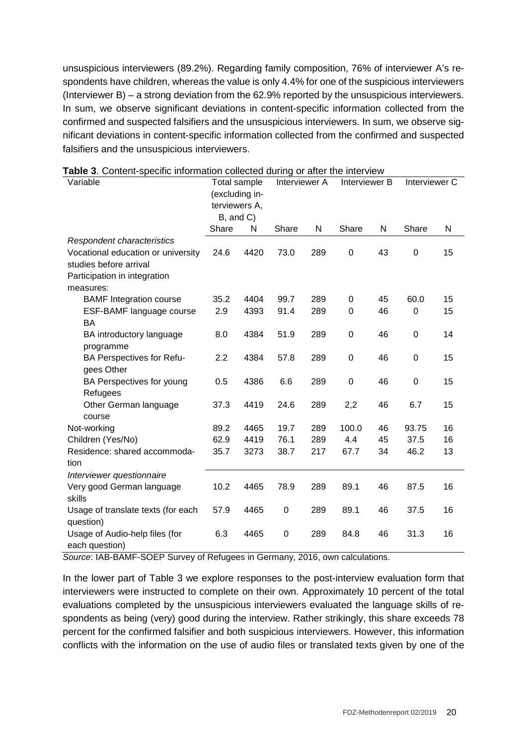unsuspicious interviewers (89.2%). Regarding family composition, 76% of interviewer A's respondents have children, whereas the value is only 4.4% for one of the suspicious interviewers (Interviewer B) – a strong deviation from the 62.9% reported by the unsuspicious interviewers. In sum, we observe significant deviations in content-specific information collected from the confirmed and suspected falsifiers and the unsuspicious interviewers. In sum, we observe significant deviations in content-specific information collected from the confirmed and suspected falsifiers and the unsuspicious interviewers.

| Variable                           | Total sample   |      | Interviewer A    |     | Interviewer B    |           | Interviewer C  |    |
|------------------------------------|----------------|------|------------------|-----|------------------|-----------|----------------|----|
|                                    | (excluding in- |      |                  |     |                  |           |                |    |
|                                    | terviewers A,  |      |                  |     |                  |           |                |    |
|                                    | B, and C)      |      |                  |     |                  |           |                |    |
|                                    | Share          | N    | Share            | N   | Share            | ${\sf N}$ | Share          | N  |
| Respondent characteristics         |                |      |                  |     |                  |           |                |    |
| Vocational education or university | 24.6           | 4420 | 73.0             | 289 | 0                | 43        | 0              | 15 |
| studies before arrival             |                |      |                  |     |                  |           |                |    |
| Participation in integration       |                |      |                  |     |                  |           |                |    |
| measures:                          |                |      |                  |     |                  |           |                |    |
| <b>BAMF</b> Integration course     | 35.2           | 4404 | 99.7             | 289 | 0                | 45        | 60.0           | 15 |
| ESF-BAMF language course           | 2.9            | 4393 | 91.4             | 289 | 0                | 46        | 0              | 15 |
| <b>BA</b>                          |                |      |                  |     |                  |           |                |    |
| BA introductory language           | 8.0            | 4384 | 51.9             | 289 | $\boldsymbol{0}$ | 46        | 0              | 14 |
| programme                          |                |      |                  |     |                  |           |                |    |
| BA Perspectives for Refu-          | 2.2            | 4384 | 57.8             | 289 | $\boldsymbol{0}$ | 46        | $\mathbf 0$    | 15 |
| gees Other                         |                |      |                  |     |                  |           |                |    |
| BA Perspectives for young          | 0.5            | 4386 | 6.6              | 289 | $\mathbf 0$      | 46        | $\overline{0}$ | 15 |
| Refugees                           |                |      |                  |     |                  |           |                |    |
| Other German language              | 37.3           | 4419 | 24.6             | 289 | 2,2              | 46        | 6.7            | 15 |
| course                             |                |      |                  |     |                  |           |                |    |
| Not-working                        | 89.2           | 4465 | 19.7             | 289 | 100.0            | 46        | 93.75          | 16 |
| Children (Yes/No)                  | 62.9           | 4419 | 76.1             | 289 | 4.4              | 45        | 37.5           | 16 |
| Residence: shared accommoda-       | 35.7           | 3273 | 38.7             | 217 | 67.7             | 34        | 46.2           | 13 |
| tion                               |                |      |                  |     |                  |           |                |    |
| Interviewer questionnaire          |                |      |                  |     |                  |           |                |    |
| Very good German language          | 10.2           | 4465 | 78.9             | 289 | 89.1             | 46        | 87.5           | 16 |
| skills                             |                |      |                  |     |                  |           |                |    |
| Usage of translate texts (for each | 57.9           | 4465 | $\boldsymbol{0}$ | 289 | 89.1             | 46        | 37.5           | 16 |
| question)                          |                |      |                  |     |                  |           |                |    |
| Usage of Audio-help files (for     | 6.3            | 4465 | 0                | 289 | 84.8             | 46        | 31.3           | 16 |
| each question)                     |                |      |                  |     |                  |           |                |    |

**Table 3**. Content-specific information collected during or after the interview

*Source*: IAB-BAMF-SOEP Survey of Refugees in Germany, 2016, own calculations.

In the lower part of Table 3 we explore responses to the post-interview evaluation form that interviewers were instructed to complete on their own. Approximately 10 percent of the total evaluations completed by the unsuspicious interviewers evaluated the language skills of respondents as being (very) good during the interview. Rather strikingly, this share exceeds 78 percent for the confirmed falsifier and both suspicious interviewers. However, this information conflicts with the information on the use of audio files or translated texts given by one of the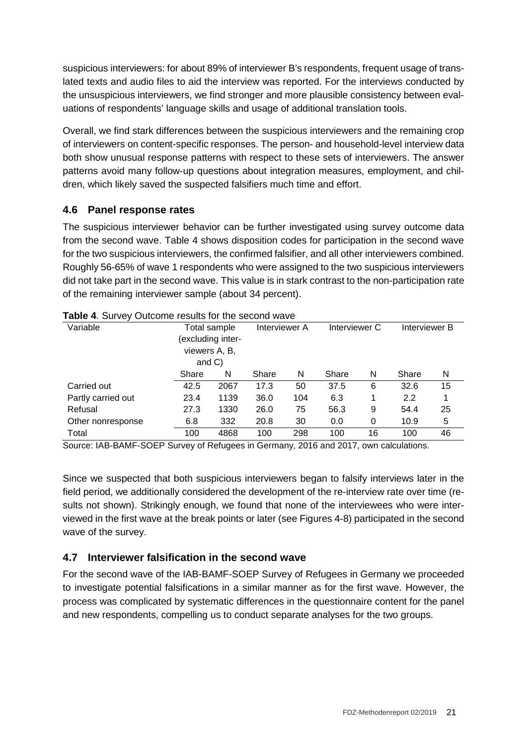suspicious interviewers: for about 89% of interviewer B's respondents, frequent usage of translated texts and audio files to aid the interview was reported. For the interviews conducted by the unsuspicious interviewers, we find stronger and more plausible consistency between evaluations of respondents' language skills and usage of additional translation tools.

Overall, we find stark differences between the suspicious interviewers and the remaining crop of interviewers on content-specific responses. The person- and household-level interview data both show unusual response patterns with respect to these sets of interviewers. The answer patterns avoid many follow-up questions about integration measures, employment, and children, which likely saved the suspected falsifiers much time and effort.

#### **4.6 Panel response rates**

The suspicious interviewer behavior can be further investigated using survey outcome data from the second wave. Table 4 shows disposition codes for participation in the second wave for the two suspicious interviewers, the confirmed falsifier, and all other interviewers combined. Roughly 56-65% of wave 1 respondents who were assigned to the two suspicious interviewers did not take part in the second wave. This value is in stark contrast to the non-participation rate of the remaining interviewer sample (about 34 percent).

| <b>Table 4.</b> Survey Outcome results for the second wave |               |                  |               |     |               |    |               |    |
|------------------------------------------------------------|---------------|------------------|---------------|-----|---------------|----|---------------|----|
| Variable                                                   |               | Total sample     | Interviewer A |     | Interviewer C |    | Interviewer B |    |
|                                                            |               | excluding inter- |               |     |               |    |               |    |
|                                                            | viewers A, B, |                  |               |     |               |    |               |    |
|                                                            | and $C$ )     |                  |               |     |               |    |               |    |
|                                                            | Share         | N                |               | N   | Share         | N  | Share         | N  |
| Carried out                                                | 42.5          | 2067             | 17.3          | 50  | 37.5          | 6  | 32.6          | 15 |
| Partly carried out                                         | 23.4          | 1139             | 36.0          | 104 | 6.3           | 1  | 2.2           |    |
| Refusal                                                    | 27.3          | 1330             | 26.0          | 75  | 56.3          | 9  | 54.4          | 25 |
| Other nonresponse                                          | 6.8           | 332              | 20.8          | 30  | 0.0           | 0  | 10.9          | 5  |
| Total                                                      | 100           | 4868             | 100           | 298 | 100           | 16 | 100           | 46 |

Source: IAB-BAMF-SOEP Survey of Refugees in Germany, 2016 and 2017, own calculations.

Since we suspected that both suspicious interviewers began to falsify interviews later in the field period, we additionally considered the development of the re-interview rate over time (results not shown). Strikingly enough, we found that none of the interviewees who were interviewed in the first wave at the break points or later (see Figures 4-8) participated in the second wave of the survey.

#### **4.7 Interviewer falsification in the second wave**

For the second wave of the IAB-BAMF-SOEP Survey of Refugees in Germany we proceeded to investigate potential falsifications in a similar manner as for the first wave. However, the process was complicated by systematic differences in the questionnaire content for the panel and new respondents, compelling us to conduct separate analyses for the two groups.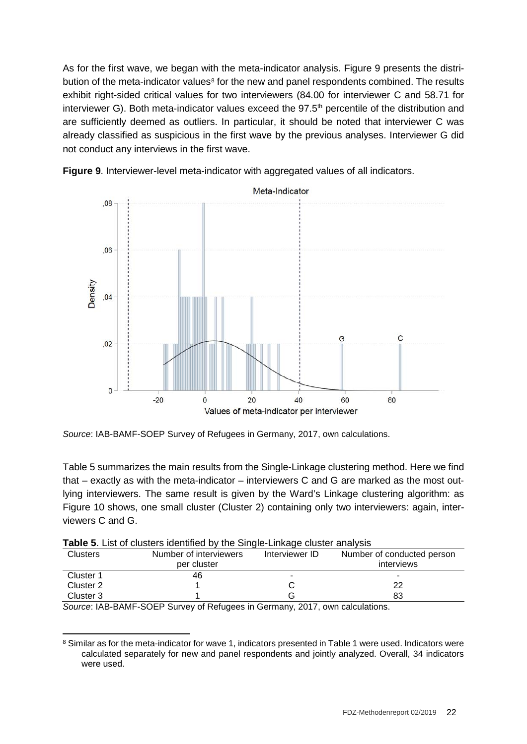As for the first wave, we began with the meta-indicator analysis. Figure 9 presents the distri-bution of the meta-indicator values<sup>[8](#page-21-0)</sup> for the new and panel respondents combined. The results exhibit right-sided critical values for two interviewers (84.00 for interviewer C and 58.71 for interviewer G). Both meta-indicator values exceed the  $97.5<sup>th</sup>$  percentile of the distribution and are sufficiently deemed as outliers. In particular, it should be noted that interviewer C was already classified as suspicious in the first wave by the previous analyses. Interviewer G did not conduct any interviews in the first wave.





*Source*: IAB-BAMF-SOEP Survey of Refugees in Germany, 2017, own calculations.

Table 5 summarizes the main results from the Single-Linkage clustering method. Here we find that – exactly as with the meta-indicator – interviewers C and G are marked as the most outlying interviewers. The same result is given by the Ward's Linkage clustering algorithm: as Figure 10 shows, one small cluster (Cluster 2) containing only two interviewers: again, interviewers C and G.

|  | Table 5. List of clusters identified by the Single-Linkage cluster analysis |  |  |  |
|--|-----------------------------------------------------------------------------|--|--|--|
|  |                                                                             |  |  |  |

|                                             | $\frac{1}{2}$ and $\frac{1}{2}$ . The contract of the contract of $\frac{1}{2}$ , the contract of the contract of the contract of the contract of the contract of the contract of the contract of the contract of the contract of the con |                |                            |  |  |  |  |  |  |
|---------------------------------------------|-------------------------------------------------------------------------------------------------------------------------------------------------------------------------------------------------------------------------------------------|----------------|----------------------------|--|--|--|--|--|--|
| <b>Clusters</b>                             | Number of interviewers                                                                                                                                                                                                                    | Interviewer ID | Number of conducted person |  |  |  |  |  |  |
|                                             | per cluster                                                                                                                                                                                                                               |                | interviews                 |  |  |  |  |  |  |
| Cluster 1                                   | 46                                                                                                                                                                                                                                        |                | ۰                          |  |  |  |  |  |  |
| Cluster 2                                   |                                                                                                                                                                                                                                           |                | 22                         |  |  |  |  |  |  |
| Cluster 3                                   |                                                                                                                                                                                                                                           |                | 83                         |  |  |  |  |  |  |
| . . _ _ <i>.</i> _ _ _ _ _<br>$\sim$ $\sim$ | .                                                                                                                                                                                                                                         | $\sim$<br>---- | .                          |  |  |  |  |  |  |

*Source*: IAB-BAMF-SOEP Survey of Refugees in Germany, 2017, own calculations.

<span id="page-21-0"></span><sup>&</sup>lt;sup>8</sup> Similar as for the meta-indicator for wave 1, indicators presented in Table 1 were used. Indicators were calculated separately for new and panel respondents and jointly analyzed. Overall, 34 indicators were used.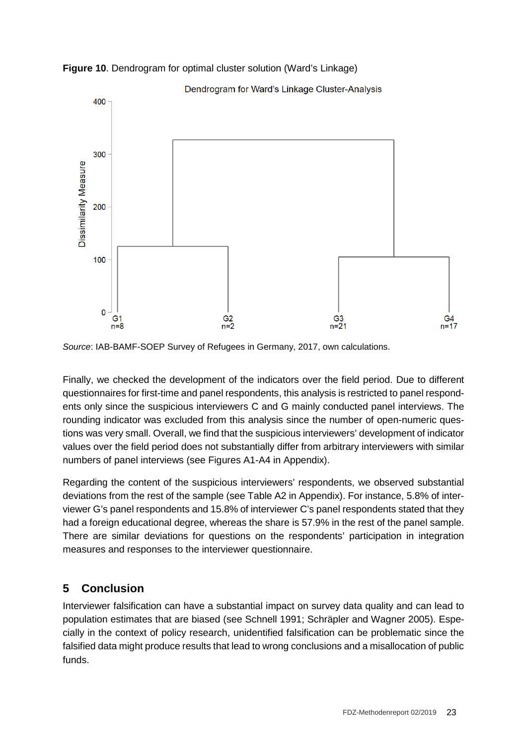

**Figure 10**. Dendrogram for optimal cluster solution (Ward's Linkage)

*Source*: IAB-BAMF-SOEP Survey of Refugees in Germany, 2017, own calculations.

Finally, we checked the development of the indicators over the field period. Due to different questionnaires for first-time and panel respondents, this analysis is restricted to panel respondents only since the suspicious interviewers C and G mainly conducted panel interviews. The rounding indicator was excluded from this analysis since the number of open-numeric questions was very small. Overall, we find that the suspicious interviewers' development of indicator values over the field period does not substantially differ from arbitrary interviewers with similar numbers of panel interviews (see Figures A1-A4 in Appendix).

Regarding the content of the suspicious interviewers' respondents, we observed substantial deviations from the rest of the sample (see Table A2 in Appendix). For instance, 5.8% of interviewer G's panel respondents and 15.8% of interviewer C's panel respondents stated that they had a foreign educational degree, whereas the share is 57.9% in the rest of the panel sample. There are similar deviations for questions on the respondents' participation in integration measures and responses to the interviewer questionnaire.

# **5 Conclusion**

Interviewer falsification can have a substantial impact on survey data quality and can lead to population estimates that are biased (see Schnell 1991; Schräpler and Wagner 2005). Especially in the context of policy research, unidentified falsification can be problematic since the falsified data might produce results that lead to wrong conclusions and a misallocation of public funds.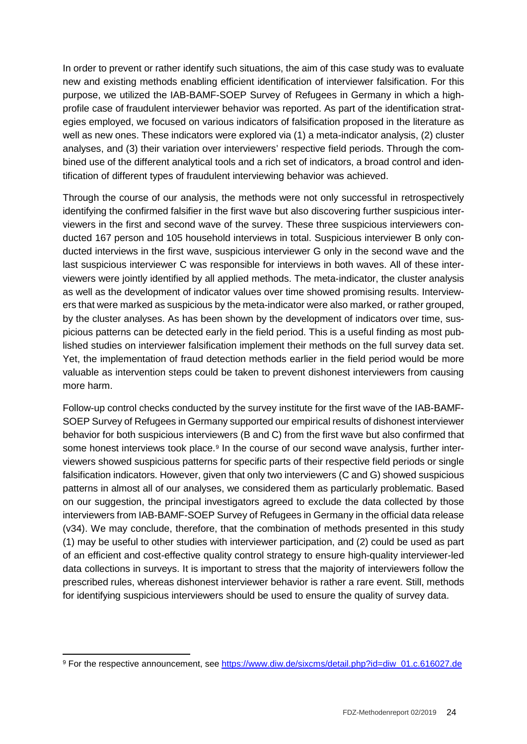In order to prevent or rather identify such situations, the aim of this case study was to evaluate new and existing methods enabling efficient identification of interviewer falsification. For this purpose, we utilized the IAB-BAMF-SOEP Survey of Refugees in Germany in which a highprofile case of fraudulent interviewer behavior was reported. As part of the identification strategies employed, we focused on various indicators of falsification proposed in the literature as well as new ones. These indicators were explored via (1) a meta-indicator analysis, (2) cluster analyses, and (3) their variation over interviewers' respective field periods. Through the combined use of the different analytical tools and a rich set of indicators, a broad control and identification of different types of fraudulent interviewing behavior was achieved.

Through the course of our analysis, the methods were not only successful in retrospectively identifying the confirmed falsifier in the first wave but also discovering further suspicious interviewers in the first and second wave of the survey. These three suspicious interviewers conducted 167 person and 105 household interviews in total. Suspicious interviewer B only conducted interviews in the first wave, suspicious interviewer G only in the second wave and the last suspicious interviewer C was responsible for interviews in both waves. All of these interviewers were jointly identified by all applied methods. The meta-indicator, the cluster analysis as well as the development of indicator values over time showed promising results. Interviewers that were marked as suspicious by the meta-indicator were also marked, or rather grouped, by the cluster analyses. As has been shown by the development of indicators over time, suspicious patterns can be detected early in the field period. This is a useful finding as most published studies on interviewer falsification implement their methods on the full survey data set. Yet, the implementation of fraud detection methods earlier in the field period would be more valuable as intervention steps could be taken to prevent dishonest interviewers from causing more harm.

Follow-up control checks conducted by the survey institute for the first wave of the IAB-BAMF-SOEP Survey of Refugees in Germany supported our empirical results of dishonest interviewer behavior for both suspicious interviewers (B and C) from the first wave but also confirmed that some honest interviews took place. $9$  In the course of our second wave analysis, further interviewers showed suspicious patterns for specific parts of their respective field periods or single falsification indicators. However, given that only two interviewers (C and G) showed suspicious patterns in almost all of our analyses, we considered them as particularly problematic. Based on our suggestion, the principal investigators agreed to exclude the data collected by those interviewers from IAB-BAMF-SOEP Survey of Refugees in Germany in the official data release (v34). We may conclude, therefore, that the combination of methods presented in this study (1) may be useful to other studies with interviewer participation, and (2) could be used as part of an efficient and cost-effective quality control strategy to ensure high-quality interviewer-led data collections in surveys. It is important to stress that the majority of interviewers follow the prescribed rules, whereas dishonest interviewer behavior is rather a rare event. Still, methods for identifying suspicious interviewers should be used to ensure the quality of survey data.

<span id="page-23-0"></span> <sup>9</sup> For the respective announcement, see [https://www.diw.de/sixcms/detail.php?id=diw\\_01.c.616027.de](https://www.diw.de/sixcms/detail.php?id=diw_01.c.616027.de)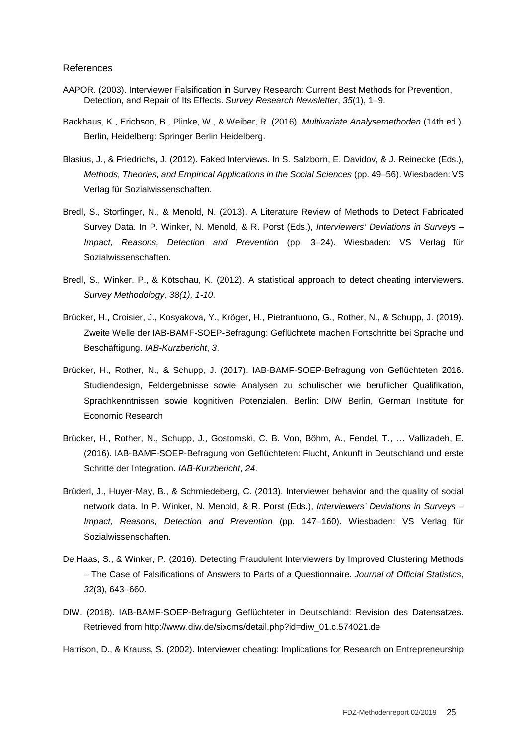#### References

- AAPOR. (2003). Interviewer Falsification in Survey Research: Current Best Methods for Prevention, Detection, and Repair of Its Effects. *Survey Research Newsletter*, *35*(1), 1–9.
- Backhaus, K., Erichson, B., Plinke, W., & Weiber, R. (2016). *Multivariate Analysemethoden* (14th ed.). Berlin, Heidelberg: Springer Berlin Heidelberg.
- Blasius, J., & Friedrichs, J. (2012). Faked Interviews. In S. Salzborn, E. Davidov, & J. Reinecke (Eds.), *Methods, Theories, and Empirical Applications in the Social Sciences* (pp. 49–56). Wiesbaden: VS Verlag für Sozialwissenschaften.
- Bredl, S., Storfinger, N., & Menold, N. (2013). A Literature Review of Methods to Detect Fabricated Survey Data. In P. Winker, N. Menold, & R. Porst (Eds.), *Interviewers' Deviations in Surveys – Impact, Reasons, Detection and Prevention* (pp. 3–24). Wiesbaden: VS Verlag für Sozialwissenschaften.
- Bredl, S., Winker, P., & Kötschau, K. (2012). A statistical approach to detect cheating interviewers. *Survey Methodology, 38(1), 1-10*.
- Brücker, H., Croisier, J., Kosyakova, Y., Kröger, H., Pietrantuono, G., Rother, N., & Schupp, J. (2019). Zweite Welle der IAB-BAMF-SOEP-Befragung: Geflüchtete machen Fortschritte bei Sprache und Beschäftigung. *IAB-Kurzbericht*, *3*.
- Brücker, H., Rother, N., & Schupp, J. (2017). IAB-BAMF-SOEP-Befragung von Geflüchteten 2016. Studiendesign, Feldergebnisse sowie Analysen zu schulischer wie beruflicher Qualifikation, Sprachkenntnissen sowie kognitiven Potenzialen. Berlin: DIW Berlin, German Institute for Economic Research
- Brücker, H., Rother, N., Schupp, J., Gostomski, C. B. Von, Böhm, A., Fendel, T., … Vallizadeh, E. (2016). IAB-BAMF-SOEP-Befragung von Geflüchteten: Flucht, Ankunft in Deutschland und erste Schritte der Integration. *IAB-Kurzbericht*, *24*.
- Brüderl, J., Huyer-May, B., & Schmiedeberg, C. (2013). Interviewer behavior and the quality of social network data. In P. Winker, N. Menold, & R. Porst (Eds.), *Interviewers' Deviations in Surveys – Impact, Reasons, Detection and Prevention* (pp. 147–160). Wiesbaden: VS Verlag für Sozialwissenschaften.
- De Haas, S., & Winker, P. (2016). Detecting Fraudulent Interviewers by Improved Clustering Methods – The Case of Falsifications of Answers to Parts of a Questionnaire. *Journal of Official Statistics*, *32*(3), 643–660.
- DIW. (2018). IAB-BAMF-SOEP-Befragung Geflüchteter in Deutschland: Revision des Datensatzes. Retrieved from http://www.diw.de/sixcms/detail.php?id=diw\_01.c.574021.de

Harrison, D., & Krauss, S. (2002). Interviewer cheating: Implications for Research on Entrepreneurship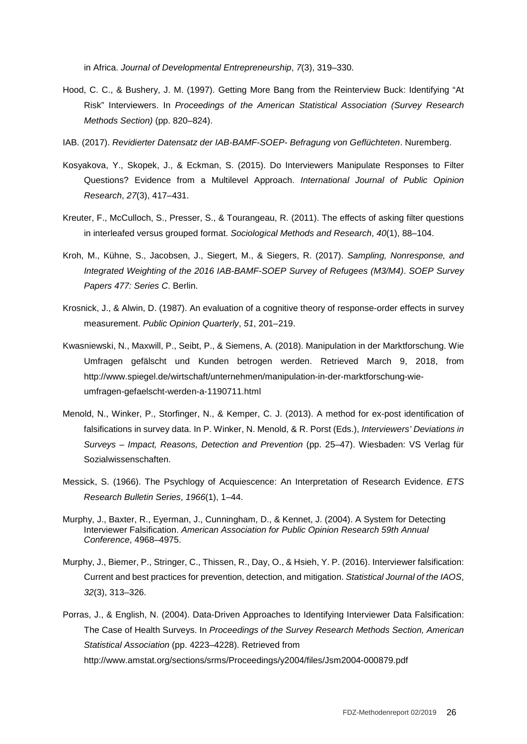in Africa. *Journal of Developmental Entrepreneurship*, *7*(3), 319–330.

- Hood, C. C., & Bushery, J. M. (1997). Getting More Bang from the Reinterview Buck: Identifying "At Risk" Interviewers. In *Proceedings of the American Statistical Association (Survey Research Methods Section)* (pp. 820–824).
- IAB. (2017). *Revidierter Datensatz der IAB-BAMF-SOEP- Befragung von Geflüchteten*. Nuremberg.
- Kosyakova, Y., Skopek, J., & Eckman, S. (2015). Do Interviewers Manipulate Responses to Filter Questions? Evidence from a Multilevel Approach. *International Journal of Public Opinion Research*, *27*(3), 417–431.
- Kreuter, F., McCulloch, S., Presser, S., & Tourangeau, R. (2011). The effects of asking filter questions in interleafed versus grouped format. *Sociological Methods and Research*, *40*(1), 88–104.
- Kroh, M., Kühne, S., Jacobsen, J., Siegert, M., & Siegers, R. (2017). *Sampling, Nonresponse, and Integrated Weighting of the 2016 IAB-BAMF-SOEP Survey of Refugees (M3/M4)*. *SOEP Survey Papers 477: Series C*. Berlin.
- Krosnick, J., & Alwin, D. (1987). An evaluation of a cognitive theory of response-order effects in survey measurement. *Public Opinion Quarterly*, *51*, 201–219.
- Kwasniewski, N., Maxwill, P., Seibt, P., & Siemens, A. (2018). Manipulation in der Marktforschung. Wie Umfragen gefälscht und Kunden betrogen werden. Retrieved March 9, 2018, from http://www.spiegel.de/wirtschaft/unternehmen/manipulation-in-der-marktforschung-wieumfragen-gefaelscht-werden-a-1190711.html
- Menold, N., Winker, P., Storfinger, N., & Kemper, C. J. (2013). A method for ex-post identification of falsifications in survey data. In P. Winker, N. Menold, & R. Porst (Eds.), *Interviewers' Deviations in Surveys – Impact, Reasons, Detection and Prevention* (pp. 25–47). Wiesbaden: VS Verlag für Sozialwissenschaften.
- Messick, S. (1966). The Psychlogy of Acquiescence: An Interpretation of Research Evidence. *ETS Research Bulletin Series*, *1966*(1), 1–44.
- Murphy, J., Baxter, R., Eyerman, J., Cunningham, D., & Kennet, J. (2004). A System for Detecting Interviewer Falsification. *American Association for Public Opinion Research 59th Annual Conference*, 4968–4975.
- Murphy, J., Biemer, P., Stringer, C., Thissen, R., Day, O., & Hsieh, Y. P. (2016). Interviewer falsification: Current and best practices for prevention, detection, and mitigation. *Statistical Journal of the IAOS*, *32*(3), 313–326.
- Porras, J., & English, N. (2004). Data-Driven Approaches to Identifying Interviewer Data Falsification: The Case of Health Surveys. In *Proceedings of the Survey Research Methods Section, American Statistical Association* (pp. 4223–4228). Retrieved from http://www.amstat.org/sections/srms/Proceedings/y2004/files/Jsm2004-000879.pdf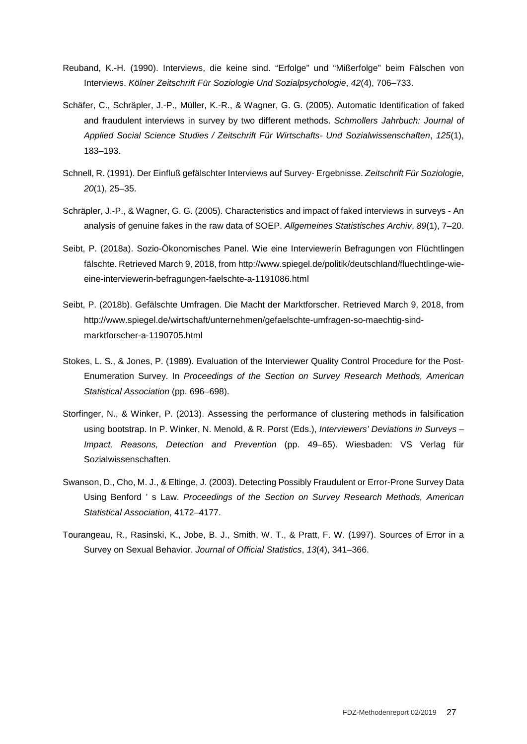- Reuband, K.-H. (1990). Interviews, die keine sind. "Erfolge" und "Mißerfolge" beim Fälschen von Interviews. *Kölner Zeitschrift Für Soziologie Und Sozialpsychologie*, *42*(4), 706–733.
- Schäfer, C., Schräpler, J.-P., Müller, K.-R., & Wagner, G. G. (2005). Automatic Identification of faked and fraudulent interviews in survey by two different methods. *Schmollers Jahrbuch: Journal of Applied Social Science Studies / Zeitschrift Für Wirtschafts- Und Sozialwissenschaften*, *125*(1), 183–193.
- Schnell, R. (1991). Der Einfluß gefälschter Interviews auf Survey- Ergebnisse. *Zeitschrift Für Soziologie*, *20*(1), 25–35.
- Schräpler, J.-P., & Wagner, G. G. (2005). Characteristics and impact of faked interviews in surveys An analysis of genuine fakes in the raw data of SOEP. *Allgemeines Statistisches Archiv*, *89*(1), 7–20.
- Seibt, P. (2018a). Sozio-Ökonomisches Panel. Wie eine Interviewerin Befragungen von Flüchtlingen fälschte. Retrieved March 9, 2018, from http://www.spiegel.de/politik/deutschland/fluechtlinge-wieeine-interviewerin-befragungen-faelschte-a-1191086.html
- Seibt, P. (2018b). Gefälschte Umfragen. Die Macht der Marktforscher. Retrieved March 9, 2018, from http://www.spiegel.de/wirtschaft/unternehmen/gefaelschte-umfragen-so-maechtig-sindmarktforscher-a-1190705.html
- Stokes, L. S., & Jones, P. (1989). Evaluation of the Interviewer Quality Control Procedure for the Post-Enumeration Survey. In *Proceedings of the Section on Survey Research Methods, American Statistical Association* (pp. 696–698).
- Storfinger, N., & Winker, P. (2013). Assessing the performance of clustering methods in falsification using bootstrap. In P. Winker, N. Menold, & R. Porst (Eds.), *Interviewers' Deviations in Surveys – Impact, Reasons, Detection and Prevention* (pp. 49–65). Wiesbaden: VS Verlag für Sozialwissenschaften.
- Swanson, D., Cho, M. J., & Eltinge, J. (2003). Detecting Possibly Fraudulent or Error-Prone Survey Data Using Benford ' s Law. *Proceedings of the Section on Survey Research Methods, American Statistical Association*, 4172–4177.
- Tourangeau, R., Rasinski, K., Jobe, B. J., Smith, W. T., & Pratt, F. W. (1997). Sources of Error in a Survey on Sexual Behavior. *Journal of Official Statistics*, *13*(4), 341–366.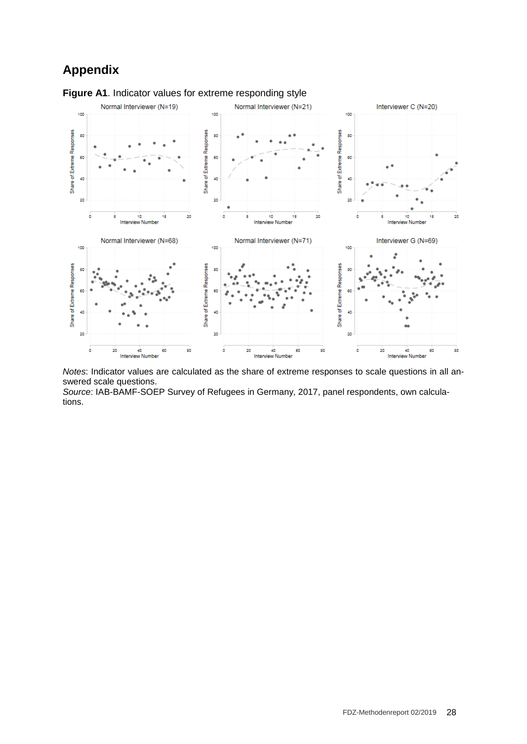# **Appendix**



*Notes*: Indicator values are calculated as the share of extreme responses to scale questions in all answered scale questions.

*Source*: IAB-BAMF-SOEP Survey of Refugees in Germany, 2017, panel respondents, own calculations.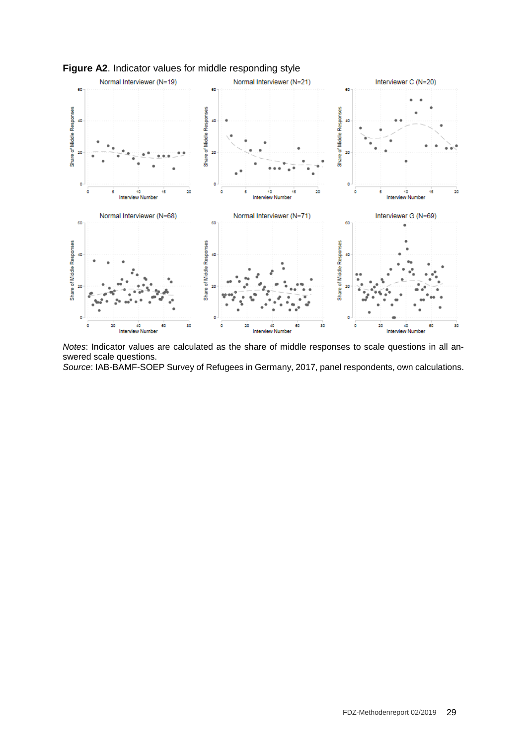



*Notes*: Indicator values are calculated as the share of middle responses to scale questions in all answered scale questions.

*Source*: IAB-BAMF-SOEP Survey of Refugees in Germany, 2017, panel respondents, own calculations.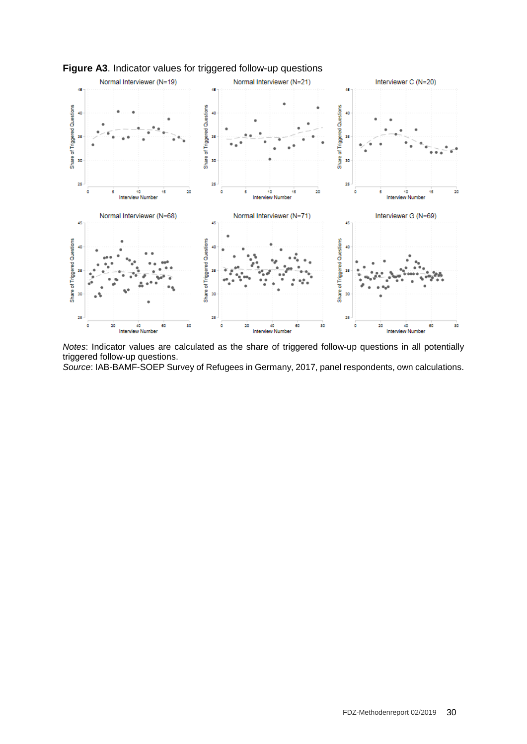

#### **Figure A3**. Indicator values for triggered follow-up questions

*Notes*: Indicator values are calculated as the share of triggered follow-up questions in all potentially triggered follow-up questions.

*Source*: IAB-BAMF-SOEP Survey of Refugees in Germany, 2017, panel respondents, own calculations.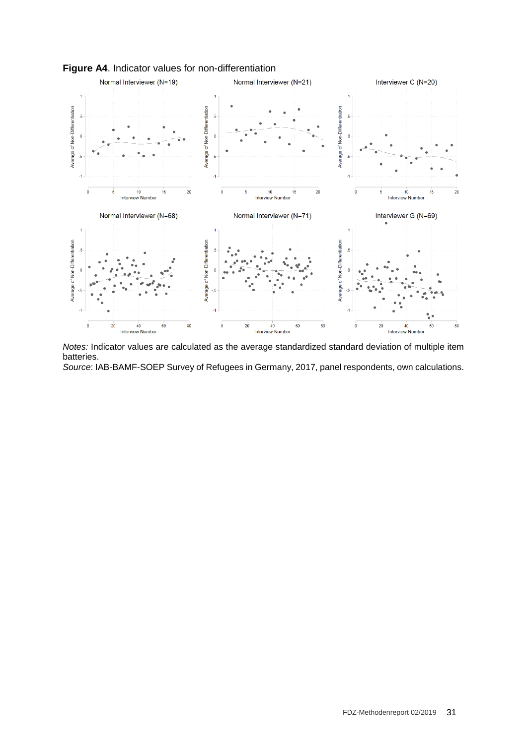

#### **Figure A4**. Indicator values for non-differentiation

*Notes:* Indicator values are calculated as the average standardized standard deviation of multiple item batteries.

*Source*: IAB-BAMF-SOEP Survey of Refugees in Germany, 2017, panel respondents, own calculations.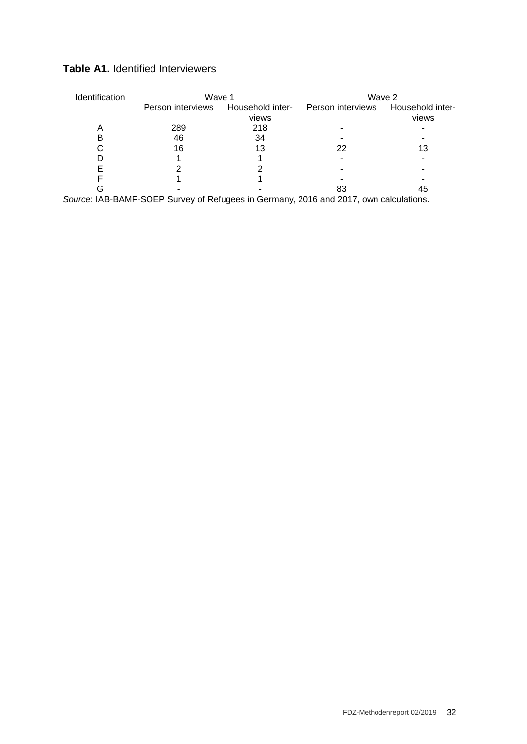| Identification | Wave 1                             |       | Wave 2                             |       |  |
|----------------|------------------------------------|-------|------------------------------------|-------|--|
|                | Person interviews Household inter- |       | Person interviews Household inter- |       |  |
|                |                                    | views |                                    | views |  |
| A              | 289                                | 218   |                                    |       |  |
|                | 46                                 | 34    |                                    |       |  |
|                | 16                                 | 13    | 22                                 | 13    |  |
|                |                                    |       |                                    |       |  |
|                |                                    |       |                                    |       |  |
|                |                                    |       |                                    |       |  |
|                |                                    |       | 83                                 | 45    |  |

#### **Table A1.** Identified Interviewers

*Source*: IAB-BAMF-SOEP Survey of Refugees in Germany, 2016 and 2017, own calculations.